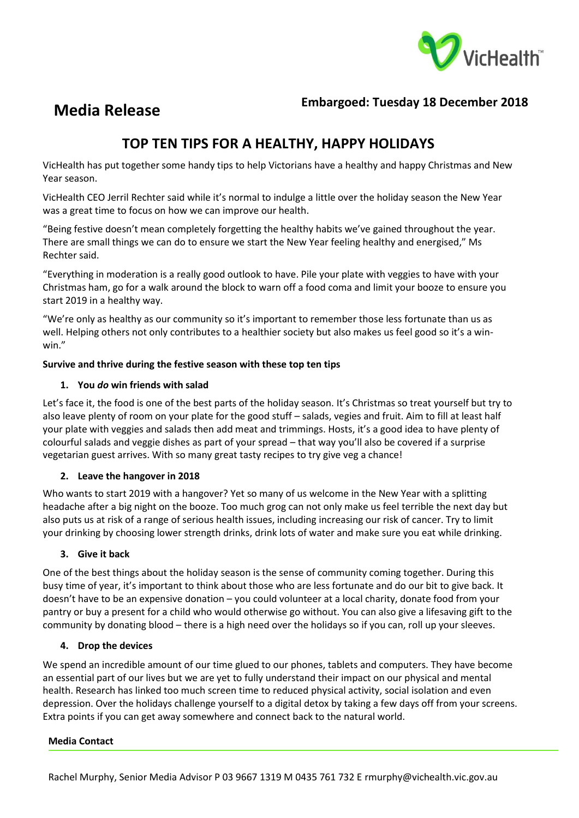

# **Media Release Embargoed: Tuesday 18 December 2018**

## **TOP TEN TIPS FOR A HEALTHY, HAPPY HOLIDAYS**

VicHealth has put together some handy tips to help Victorians have a healthy and happy Christmas and New Year season.

VicHealth CEO Jerril Rechter said while it's normal to indulge a little over the holiday season the New Year was a great time to focus on how we can improve our health.

"Being festive doesn't mean completely forgetting the healthy habits we've gained throughout the year. There are small things we can do to ensure we start the New Year feeling healthy and energised," Ms Rechter said.

"Everything in moderation is a really good outlook to have. Pile your plate with veggies to have with your Christmas ham, go for a walk around the block to warn off a food coma and limit your booze to ensure you start 2019 in a healthy way.

"We're only as healthy as our community so it's important to remember those less fortunate than us as well. Helping others not only contributes to a healthier society but also makes us feel good so it's a winwin."

## **Survive and thrive during the festive season with these top ten tips**

## **1. You** *do* **win friends with salad**

Let's face it, the food is one of the best parts of the holiday season. It's Christmas so treat yourself but try to also leave plenty of room on your plate for the good stuff – salads, vegies and fruit. Aim to fill at least half your plate with veggies and salads then add meat and trimmings. Hosts, it's a good idea to have plenty of colourful salads and veggie dishes as part of your spread – that way you'll also be covered if a surprise vegetarian guest arrives. With so many great tasty recipes to try give veg a chance!

## **2. Leave the hangover in 2018**

Who wants to start 2019 with a hangover? Yet so many of us welcome in the New Year with a splitting headache after a big night on the booze. Too much grog can not only make us feel terrible the next day but also puts us at risk of a range of serious health issues, including increasing our risk of cancer. Try to limit your drinking by choosing lower strength drinks, drink lots of water and make sure you eat while drinking.

## **3. Give it back**

One of the best things about the holiday season is the sense of community coming together. During this busy time of year, it's important to think about those who are less fortunate and do our bit to give back. It doesn't have to be an expensive donation – you could volunteer at a local charity, donate food from your pantry or buy a present for a child who would otherwise go without. You can also give a lifesaving gift to the community by donating blood – there is a high need over the holidays so if you can, roll up your sleeves.

## **4. Drop the devices**

We spend an incredible amount of our time glued to our phones, tablets and computers. They have become an essential part of our lives but we are yet to fully understand their impact on our physical and mental health. Research has linked too much screen time to reduced physical activity, social isolation and even depression. Over the holidays challenge yourself to a digital detox by taking a few days off from your screens. Extra points if you can get away somewhere and connect back to the natural world.

### **Media Contact**